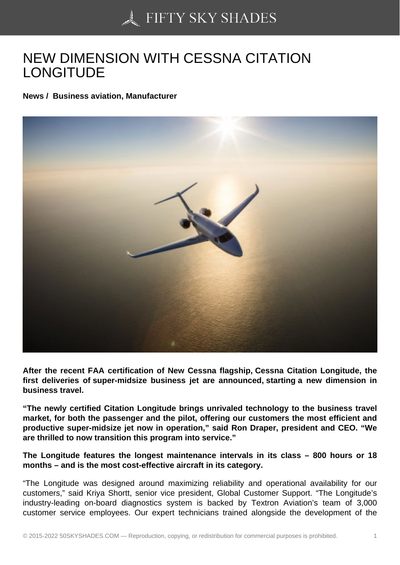## [NEW DIMENSION WIT](https://50skyshades.com)H CESSNA CITATION LONGITUDE

News / Business aviation, Manufacturer

After the recent FAA certification of New Cessna flagship, Cessna Citation Longitude, the first deliveries of super-midsize business jet are announced, starting a new dimension in business travel.

"The newly certified Citation Longitude brings unrivaled technology to the business travel market, for both the passenger and the pilot, offering our customers the most efficient and productive super-midsize jet now in operation," said Ron Draper, president and CEO. "We are thrilled to now transition this program into service."

The Longitude features the longest maintenance intervals in its class – 800 hours or 18 months – and is the most cost-effective aircraft in its category.

"The Longitude was designed around maximizing reliability and operational availability for our customers," said Kriya Shortt, senior vice president, Global Customer Support. "The Longitude's industry-leading on-board diagnostics system is backed by Textron Aviation's team of 3,000 customer service employees. Our expert technicians trained alongside the development of the